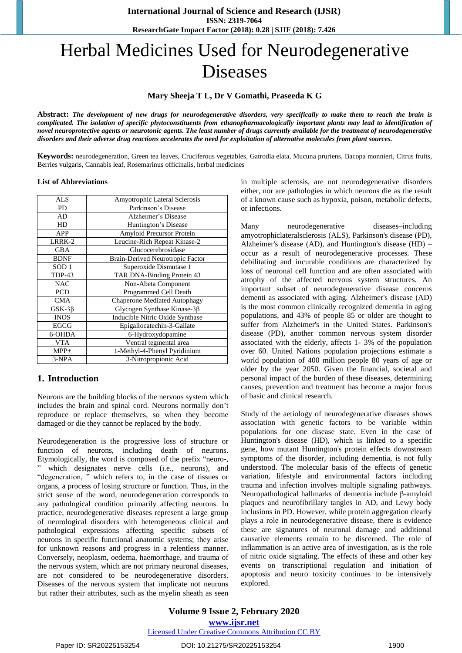# Herbal Medicines Used for Neurodegenerative Diseases

# **Mary Sheeja T L, Dr V Gomathi, Praseeda K G**

Abstract: The development of new drugs for neurodegenerative disorders, very specifically to make them to reach the brain is complicated. The isolation of specific phytoconstituents from ethanopharmacologically important plants may lead to identification of novel neuroprotective agents or neurotonic agents. The least number of drugs currently available for the treatment of neurodegenerative disorders and their adverse drug reactions accelerates the need for exploitation of alternative molecules from plant sources.

**Keywords:** neurodegeneration, Green tea leaves, Cruciferous vegetables, Gatrodia elata, Mucuna pruriens, Bacopa monnieri, Citrus fruits, Berries vulgaris, Cannabis leaf, Rosemarinus officinalis, herbal medicines

#### **List of Abbreviations**

| ALS              | Amyotrophic Lateral Sclerosis       |  |
|------------------|-------------------------------------|--|
| <b>PD</b>        | Parkinson's Disease                 |  |
| AD               | Alzheimer's Disease                 |  |
| HD               | Huntington's Disease                |  |
| APP              | Amyloid Precursor Protein           |  |
| LRRK-2           | Leucine-Rich Repeat Kinase-2        |  |
| <b>GBA</b>       | Glucocerebrosidase                  |  |
| <b>BDNF</b>      | Brain-Derived Neurotropic Factor    |  |
| SOD <sub>1</sub> | Superoxide Dismutase 1              |  |
| <b>TDP-43</b>    | TAR DNA-Binding Protein 43          |  |
| <b>NAC</b>       | Non-Abeta Component                 |  |
| <b>PCD</b>       | Programmed Cell Death               |  |
| <b>CMA</b>       | <b>Chaperone Mediated Autophagy</b> |  |
| $GSK-3\beta$     | Glycogen Synthase Kinase-3β         |  |
| <b>INOS</b>      | Inducible Nitric Oxide Synthase     |  |
| <b>EGCG</b>      | Epigallocatechin-3-Gallate          |  |
| 6-OHDA           | 6-Hydroxydopamine                   |  |
| <b>VTA</b>       | Ventral tegmental area              |  |
| $MPP+$           | 1-Methyl-4-Phenyl Pyridinium        |  |
| 3-NPA            | 3-Nitropropionic Acid               |  |

# **1. Introduction**

Neurons are the building blocks of the nervous system which includes the brain and spinal cord. Neurons normally don't reproduce or replace themselves, so when they become damaged or die they cannot be replaced by the body.

Neurodegeneration is the progressive loss of structure or function of neurons, including death of neurons. Etymologically, the word is composed of the prefix "neuro-, ‖ which designates nerve cells (i.e., neurons), and "degeneration, " which refers to, in the case of tissues or organs, a process of losing structure or function. Thus, in the strict sense of the word, neurodegeneration corresponds to any pathological condition primarily affecting neurons. In practice, neurodegenerative diseases represent a large group of neurological disorders with heterogeneous clinical and pathological expressions affecting specific subsets of neurons in specific functional anatomic systems; they arise for unknown reasons and progress in a relentless manner. Conversely, neoplasm, oedema, haemorrhage, and trauma of the nervous system, which are not primary neuronal diseases, are not considered to be neurodegenerative disorders. Diseases of the nervous system that implicate not neurons but rather their attributes, such as the myelin sheath as seen

in multiple sclerosis, are not neurodegenerative disorders either, nor are pathologies in which neurons die as the result of a known cause such as hypoxia, poison, metabolic defects, or infections.

Many neurodegenerative diseases–including amyotrophiclateralsclerosis (ALS), Parkinson's disease (PD), Alzheimer's disease (AD), and Huntington's disease (HD) – occur as a result of neurodegenerative processes. These debilitating and incurable conditions are characterized by loss of neuronal cell function and are often associated with atrophy of the affected nervous system structures. An important subset of neurodegenerative disease concerns dementi as associated with aging. Alzheimer's disease (AD) is the most common clinically recognized dementia in aging populations, and 43% of people 85 or older are thought to suffer from Alzheimer's in the United States. Parkinson's disease (PD), another common nervous system disorder associated with the elderly, affects 1- 3% of the population over 60. United Nations population projections estimate a world population of 400 million people 80 years of age or older by the year 2050. Given the financial, societal and personal impact of the burden of these diseases, determining causes, prevention and treatment has become a major focus of basic and clinical research.

Study of the aetiology of neurodegenerative diseases shows association with genetic factors to be variable within populations for one disease state. Even in the case of Huntington's disease (HD), which is linked to a specific gene, how mutant Huntington's protein effects downstream symptoms of the disorder, including dementia, is not fully understood. The molecular basis of the effects of genetic variation, lifestyle and environmental factors including trauma and infection involves multiple signaling pathways. Neuropathological hallmarks of dementia include β-amyloid plaques and neurofibrillary tangles in AD, and Lewy body inclusions in PD. However, while protein aggregation clearly plays a role in neurodegenerative disease, there is evidence these are signatures of neuronal damage and additional causative elements remain to be discerned. The role of inflammation is an active area of investigation, as is the role of nitric oxide signaling. The effects of these and other key events on transcriptional regulation and initiation of apoptosis and neuro toxicity continues to be intensively explored.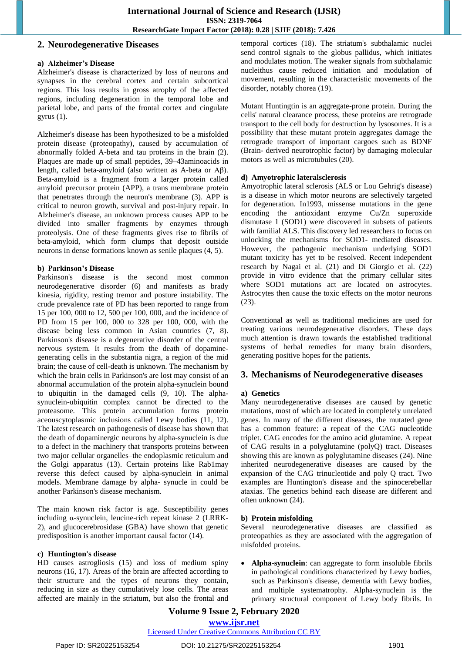# **2. Neurodegenerative Diseases**

#### **a) Alzheimer's Disease**

Alzheimer's disease is characterized by loss of neurons and synapses in the cerebral cortex and certain subcortical regions. This loss results in gross atrophy of the affected regions, including degeneration in the temporal lobe and parietal lobe, and parts of the frontal cortex and cingulate gyrus (1).

Alzheimer's disease has been hypothesized to be a misfolded protein disease (proteopathy), caused by accumulation of abnormally folded A-beta and tau proteins in the brain (2). Plaques are made up of small peptides, 39–43aminoacids in length, called beta-amyloid (also written as A-beta or Aβ). Beta-amyloid is a fragment from a larger protein called amyloid precursor protein (APP), a trans membrane protein that penetrates through the neuron's membrane (3). APP is critical to neuron growth, survival and post-injury repair. In Alzheimer's disease, an unknown process causes APP to be divided into smaller fragments by enzymes through proteolysis. One of these fragments gives rise to fibrils of beta-amyloid, which form clumps that deposit outside neurons in dense formations known as senile plaques (4, 5).

## **b) Parkinson's Disease**

Parkinson's disease is the second most common neurodegenerative disorder (6) and manifests as brady kinesia, rigidity, resting tremor and posture instability. The crude prevalence rate of PD has been reported to range from 15 per 100, 000 to 12, 500 per 100, 000, and the incidence of PD from 15 per 100, 000 to 328 per 100, 000, with the disease being less common in Asian countries (7, 8). Parkinson's disease is a degenerative disorder of the central nervous system. It results from the death of dopaminegenerating cells in the substantia nigra, a region of the mid brain; the cause of cell-death is unknown. The mechanism by which the brain cells in Parkinson's are lost may consist of an abnormal accumulation of the protein alpha-synuclein bound to ubiquitin in the damaged cells (9, 10). The alphasynuclein-ubiquitin complex cannot be directed to the proteasome. This protein accumulation forms protein aceouscytoplasmic inclusions called Lewy bodies (11, 12). The latest research on pathogenesis of disease has shown that the death of dopaminergic neurons by alpha-synuclein is due to a defect in the machinery that transports proteins between two major cellular organelles–the endoplasmic reticulum and the Golgi apparatus (13). Certain proteins like Rab1may reverse this defect caused by alpha-synuclein in animal models. Membrane damage by alpha- synucle in could be another Parkinson's disease mechanism.

The main known risk factor is age. Susceptibility genes including α-synuclein, leucine-rich repeat kinase 2 (LRRK-2), and glucocerebrosidase (GBA) have shown that genetic predisposition is another important causal factor (14).

# **c) Huntington's disease**

HD causes astrogliosis (15) and loss of medium spiny neurons (16, 17). Areas of the brain are affected according to their structure and the types of neurons they contain, reducing in size as they cumulatively lose cells. The areas affected are mainly in the striatum, but also the frontal and temporal cortices (18). The striatum's subthalamic nuclei send control signals to the globus pallidus, which initiates and modulates motion. The weaker signals from subthalamic nucleithus cause reduced initiation and modulation of movement, resulting in the characteristic movements of the disorder, notably chorea (19).

Mutant Huntingtin is an aggregate-prone protein. During the cells' natural clearance process, these proteins are retrograde transport to the cell body for destruction by lysosomes. It is a possibility that these mutant protein aggregates damage the retrograde transport of important cargoes such as BDNF (Brain- derived neurotrophic factor) by damaging molecular motors as well as microtubules (20).

## **d) Amyotrophic lateralsclerosis**

Amyotrophic lateral sclerosis (ALS or Lou Gehrig's disease) is a disease in which motor neurons are selectively targeted for degeneration. In1993, missense mutations in the gene encoding the antioxidant enzyme Cu/Zn superoxide dismutase 1 (SOD1) were discovered in subsets of patients with familial ALS. This discovery led researchers to focus on unlocking the mechanisms for SOD1- mediated diseases. However, the pathogenic mechanism underlying SOD1 mutant toxicity has yet to be resolved. Recent independent research by Nagai et al. (21) and Di Giorgio et al. (22) provide in vitro evidence that the primary cellular sites where SOD1 mutations act are located on astrocytes. Astrocytes then cause the toxic effects on the motor neurons (23).

Conventional as well as traditional medicines are used for treating various neurodegenerative disorders. These days much attention is drawn towards the established traditional systems of herbal remedies for many brain disorders, generating positive hopes for the patients.

# **3. Mechanisms of Neurodegenerative diseases**

# **a) Genetics**

Many neurodegenerative diseases are caused by genetic mutations, most of which are located in completely unrelated genes. In many of the different diseases, the mutated gene has a common feature: a repeat of the CAG nucleotide triplet. CAG encodes for the amino acid glutamine. A repeat of CAG results in a polyglutamine (polyQ) tract. Diseases showing this are known as polyglutamine diseases (24). Nine inherited neurodegenerative diseases are caused by the expansion of the CAG trinucleotide and poly Q tract. Two examples are Huntington's disease and the spinocerebellar ataxias. The genetics behind each disease are different and often unknown (24).

# **b) Protein misfolding**

Several neurodegenerative diseases are classified as proteopathies as they are associated with the aggregation of misfolded proteins.

 **Alpha-synuclein**: can aggregate to form insoluble fibrils in pathological conditions characterized by Lewy bodies, such as Parkinson's disease, dementia with Lewy bodies, and multiple systematrophy. Alpha-synuclein is the primary structural component of Lewy body fibrils. In

**Volume 9 Issue 2, February 2020 www.ijsr.net**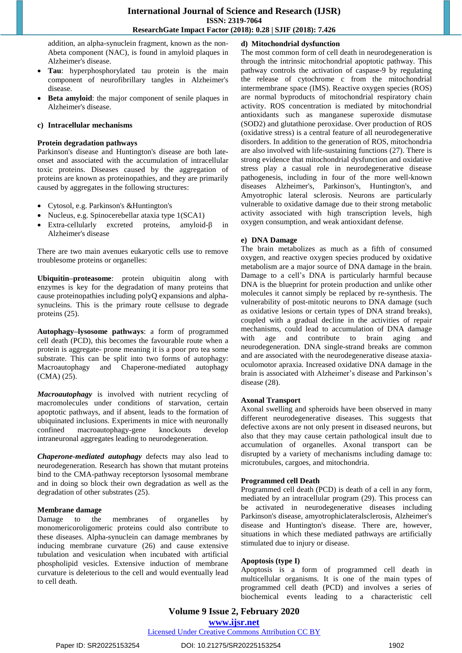addition, an alpha-synuclein fragment, known as the non-Abeta component (NAC), is found in amyloid plaques in Alzheimer's disease.

- **Tau**: hyperphosphorylated tau protein is the main component of neurofibrillary tangles in Alzheimer's disease.
- **Beta amyloid**: the major component of senile plaques in Alzheimer's disease.

#### **c) Intracellular mechanisms**

#### **Protein degradation pathways**

Parkinson's disease and Huntington's disease are both lateonset and associated with the accumulation of intracellular toxic proteins. Diseases caused by the aggregation of proteins are known as proteinopathies, and they are primarily caused by aggregates in the following structures:

- Cytosol, e.g. Parkinson's &Huntington's
- Nucleus, e.g. Spinocerebellar ataxia type 1(SCA1)
- Extra-cellularly excreted proteins, amyloid-β in Alzheimer's disease

There are two main avenues eukaryotic cells use to remove troublesome proteins or organelles:

**Ubiquitin–proteasome**: protein ubiquitin along with enzymes is key for the degradation of many proteins that cause proteinopathies including polyQ expansions and alphasynucleins. This is the primary route cellsuse to degrade proteins (25).

**Autophagy–lysosome pathways**: a form of programmed cell death (PCD), this becomes the favourable route when a protein is aggregate- prone meaning it is a poor pro tea some substrate. This can be split into two forms of autophagy: Macroautophagy and Chaperone-mediated autophagy (CMA) (25).

*Macroautophagy* is involved with nutrient recycling of macromolecules under conditions of starvation, certain apoptotic pathways, and if absent, leads to the formation of ubiquinated inclusions. Experiments in mice with neuronally confined macroautophagy-gene knockouts develop intraneuronal aggregates leading to neurodegeneration.

*Chaperone-mediated autophagy* defects may also lead to neurodegeneration. Research has shown that mutant proteins bind to the CMA-pathway receptorson lysosomal membrane and in doing so block their own degradation as well as the degradation of other substrates (25).

#### **Membrane damage**

Damage to the membranes of organelles by monomericoroligomeric proteins could also contribute to these diseases. Alpha-synuclein can damage membranes by inducing membrane curvature (26) and cause extensive tubulation and vesiculation when incubated with artificial phospholipid vesicles. Extensive induction of membrane curvature is deleterious to the cell and would eventually lead to cell death.

## **d) Mitochondrial dysfunction**

The most common form of cell death in neurodegeneration is through the intrinsic mitochondrial apoptotic pathway. This pathway controls the activation of caspase-9 by regulating the release of cytochrome c from the mitochondrial intermembrane space (IMS). Reactive oxygen species (ROS) are normal byproducts of mitochondrial respiratory chain activity. ROS concentration is mediated by mitochondrial antioxidants such as manganese superoxide dismutase (SOD2) and glutathione peroxidase. Over production of ROS (oxidative stress) is a central feature of all neurodegenerative disorders. In addition to the generation of ROS, mitochondria are also involved with life-sustaining functions (27). There is strong evidence that mitochondrial dysfunction and oxidative stress play a casual role in neurodegenerative disease pathogenesis, including in four of the more well-known diseases Alzheimer's, Parkinson's, Huntington's, and Amyotrophic lateral sclerosis. Neurons are particularly vulnerable to oxidative damage due to their strong metabolic activity associated with high transcription levels, high oxygen consumption, and weak antioxidant defense.

#### **e) DNA Damage**

The brain metabolizes as much as a fifth of consumed oxygen, and reactive oxygen species produced by oxidative metabolism are a major source of DNA damage in the brain. Damage to a cell's DNA is particularly harmful because DNA is the blueprint for protein production and unlike other molecules it cannot simply be replaced by re-synthesis. The vulnerability of post-mitotic neurons to DNA damage (such as oxidative lesions or certain types of DNA strand breaks), coupled with a gradual decline in the activities of repair mechanisms, could lead to accumulation of DNA damage with age and contribute to brain aging and neurodegeneration. DNA single-strand breaks are common and are associated with the neurodegenerative disease ataxiaoculomotor apraxia. Increased oxidative DNA damage in the brain is associated with Alzheimer's disease and Parkinson's disease (28).

#### **Axonal Transport**

Axonal swelling and spheroids have been observed in many different neurodegenerative diseases. This suggests that defective axons are not only present in diseased neurons, but also that they may cause certain pathological insult due to accumulation of organelles. Axonal transport can be disrupted by a variety of mechanisms including damage to: microtubules, cargoes, and mitochondria.

#### **Programmed cell Death**

Programmed cell death (PCD) is death of a cell in any form, mediated by an intracellular program (29). This process can be activated in neurodegenerative diseases including Parkinson's disease, amyotrophiclateralsclerosis, Alzheimer's disease and Huntington's disease. There are, however, situations in which these mediated pathways are artificially stimulated due to injury or disease.

#### **Apoptosis (type I)**

Apoptosis is a form of programmed cell death in multicellular organisms. It is one of the main types of programmed cell death (PCD) and involves a series of biochemical events leading to a characteristic cell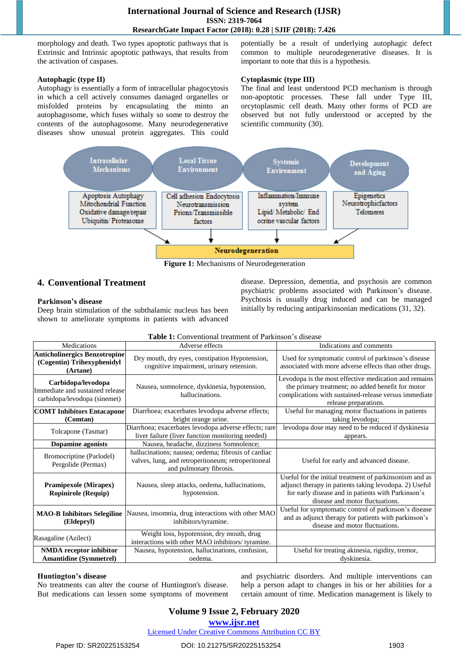morphology and death. Two types apoptotic pathways that is Extrinsic and Intrinsic apoptotic pathways, that results from the activation of caspases.

#### **Autophagic (type II)**

Autophagy is essentially a form of intracellular phagocytosis in which a cell actively consumes damaged organelles or misfolded proteins by encapsulating the minto an autophagosome, which fuses withaly so some to destroy the contents of the autophagosome. Many neurodegenerative diseases show unusual protein aggregates. This could

potentially be a result of underlying autophagic defect common to multiple neurodegenerative diseases. It is important to note that this is a hypothesis.

#### **Cytoplasmic (type III)**

The final and least understood PCD mechanism is through non-apoptotic processes. These fall under Type III, orcytoplasmic cell death. Many other forms of PCD are observed but not fully understood or accepted by the scientific community (30).



**Figure 1:** Mechanisms of Neurodegeneration

# **4. Conventional Treatment**

#### **Parkinson's disease**

Deep brain stimulation of the subthalamic nucleus has been shown to ameliorate symptoms in patients with advanced disease. Depression, dementia, and psychosis are common psychiatric problems associated with Parkinson's disease. Psychosis is usually drug induced and can be managed initially by reducing antiparkinsonian medications (31, 32).

| Medications                                                                                                                     | Adverse effects                                                                                                                      | Indications and comments                                                                                                                                                                                   |  |
|---------------------------------------------------------------------------------------------------------------------------------|--------------------------------------------------------------------------------------------------------------------------------------|------------------------------------------------------------------------------------------------------------------------------------------------------------------------------------------------------------|--|
| <b>Anticholinergics Benzotropine</b><br>(Cogentin) Trihexyphenidyl<br>(Artane)                                                  | Dry mouth, dry eyes, constipation Hypotension,<br>cognitive impairment, urinary retension.                                           | Used for symptomatic control of parkinson's disease<br>associated with more adverse effects than other drugs.                                                                                              |  |
| Carbidopa/levodopa<br>Immediate and sustained release<br>carbidopa/levodopa (sinemet)                                           | Nausea, somnolence, dyskinesia, hypotension,<br>hallucinations.                                                                      | Levodopa is the most effective medication and remains<br>the primary treatment; no added benefit for motor<br>complications with sustained-release versus immediate<br>release preparations.               |  |
| <b>COMT Inhibitors Entacapone</b>                                                                                               | Diarrhoea; exacerbates levodopa adverse effects;                                                                                     | Useful for managing motor fluctuations in patients                                                                                                                                                         |  |
| (Comtan)                                                                                                                        | bright orange urine.                                                                                                                 | taking levodopa;                                                                                                                                                                                           |  |
| Diarrhoea; exacerbates levodopa adverse effects; rare<br>Tolcapone (Tasmar)<br>liver failure (liver function monitoring needed) |                                                                                                                                      | levodopa dose may need to be reduced if dyskinesia<br>appears.                                                                                                                                             |  |
| <b>Dopamine agonists</b>                                                                                                        | Nausea, headache, dizziness Somnolence;                                                                                              |                                                                                                                                                                                                            |  |
| Bromocriptine (Parlodel)<br>Pergolide (Permax)                                                                                  | hallucinations; nausea; oedema; fibrosis of cardiac<br>valves, lung, and retroperitoneum; retroperitoneal<br>and pulmonary fibrosis. | Useful for early and advanced disease.                                                                                                                                                                     |  |
| <b>Pramipexole (Mirapex)</b><br><b>Ropinirole (Requip)</b>                                                                      | Nausea, sleep attacks, oedema, hallucinations,<br>hypotension.                                                                       | Useful for the initial treatment of parkinsonism and as<br>adjunct therapy in patients taking levodopa. 2) Useful<br>for early disease and in patients with Parkinson's<br>disease and motor fluctuations. |  |
| <b>MAO-B Inhibitors Selegiline</b><br>(Eldepryl)                                                                                | Nausea, insomnia, drug interactions with other MAO<br>inhibitors/tyramine.                                                           | Useful for symptomatic control of parkinson's disease<br>and as adjunct therapy for patients with parkinson's<br>disease and motor fluctuations.                                                           |  |
| Rasagaline (Azilect)                                                                                                            | Weight loss, hypotension, dry mouth, drug<br>interactions with other MAO inhibitors/ tyramine.                                       |                                                                                                                                                                                                            |  |
| Nausea, hypotension, hallucinations, confusion,<br><b>NMDA</b> receptor inhibitor<br><b>Amantidine (Symmetrel)</b><br>oedema.   |                                                                                                                                      | Useful for treating akinesia, rigidity, tremor,<br>dyskinesia.                                                                                                                                             |  |

| Table 1: Conventional treatment of Parkinson's disease |  |
|--------------------------------------------------------|--|
|--------------------------------------------------------|--|

#### **Huntington's disease**

No treatments can alter the course of Huntington's disease. But medications can lessen some symptoms of movement and psychiatric disorders. And multiple interventions can help a person adapt to changes in his or her abilities for a certain amount of time. Medication management is likely to

# **Volume 9 Issue 2, February 2020 www.ijsr.net**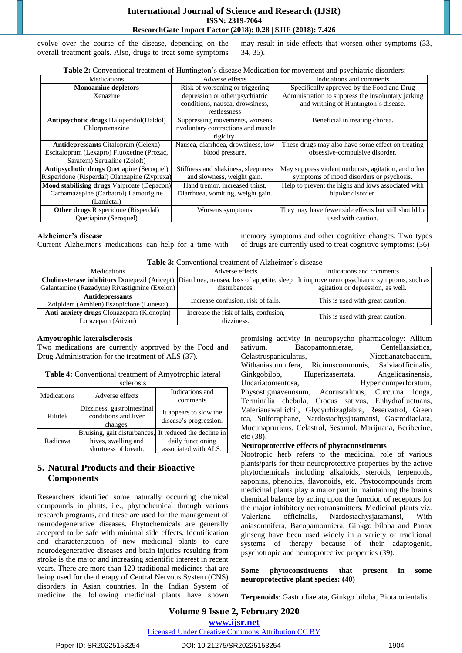evolve over the course of the disease, depending on the overall treatment goals. Also, drugs to treat some symptoms may result in side effects that worsen other symptoms (33, 34, 35).

| <b>Table 2:</b> Conventional treatment of Huntington's disease Medication for movement and psychiatric disorders: |  |
|-------------------------------------------------------------------------------------------------------------------|--|
|-------------------------------------------------------------------------------------------------------------------|--|

| Medications                                       | Adverse effects                     | Indications and comments                             |  |
|---------------------------------------------------|-------------------------------------|------------------------------------------------------|--|
| <b>Monoamine depletors</b>                        | Risk of worsening or triggering     | Specifically approved by the Food and Drug           |  |
| Xenazine                                          | depression or other psychiatric     | Administration to suppress the involuntary jerking   |  |
|                                                   | conditions, nausea, drowsiness,     | and writhing of Huntington's disease.                |  |
|                                                   | restlessness                        |                                                      |  |
| <b>Antipsychotic drugs Haloperidol</b> (Haldol)   | Suppressing movements, worsens      | Beneficial in treating chorea.                       |  |
| Chlorpromazine                                    | involuntary contractions and muscle |                                                      |  |
|                                                   | rigidity.                           |                                                      |  |
| <b>Antidepressants Citalopram (Celexa)</b>        | Nausea, diarrhoea, drowsiness, low  | These drugs may also have some effect on treating    |  |
| Escitalopram (Lexapro) Fluoxetine (Prozac,        | blood pressure.                     | obsessive-compulsive disorder.                       |  |
| Sarafem) Sertraline (Zoloft)                      |                                     |                                                      |  |
| <b>Antipsychotic drugs Quetiapine (Seroquel)</b>  | Stiffness and shakiness, sleepiness | May suppress violent outbursts, agitation, and other |  |
| Risperidone (Risperdal) Olanzapine (Zyprexa)      | and slowness, weight gain.          | symptoms of mood disorders or psychosis.             |  |
| <b>Mood stabilising drugs</b> Valproate (Depacon) | Hand tremor, increased thirst,      | Help to prevent the highs and lows associated with   |  |
| Carbamazepine (Carbatrol) Lamotrigine             | Diarrhoea, vomiting, weight gain.   | bipolar disorder.                                    |  |
| (Lamictal)                                        |                                     |                                                      |  |
| <b>Other drugs</b> Risperidone (Risperdal)        | Worsens symptoms                    | They may have fewer side effects but still should be |  |
| <b>Ouetiapine</b> (Seroquel)                      |                                     | used with caution.                                   |  |

#### **Alzheimer's disease**

memory symptoms and other cognitive changes. Two types of drugs are currently used to treat cognitive symptoms: (36)

|  | <b>Table 3:</b> Conventional treatment of Alzheimer's disease |
|--|---------------------------------------------------------------|
|--|---------------------------------------------------------------|

| Medications                                                                                                                                   | Adverse effects                                      | Indications and comments          |  |
|-----------------------------------------------------------------------------------------------------------------------------------------------|------------------------------------------------------|-----------------------------------|--|
| <b>Cholinesterase inhibitors</b> Donepezil (Aricept) Diarrhoea, nausea, loss of appetite, sleep It improve neuropsychiatric symptoms, such as |                                                      |                                   |  |
| Galantamine (Razadyne) Rivastigmine (Exelon)                                                                                                  | disturbances.                                        | agitation or depression, as well. |  |
| <b>Antidepressants</b><br>Zolpidem (Ambien) Eszopiclone (Lunesta)                                                                             | Increase confusion, risk of falls.                   | This is used with great caution.  |  |
| <b>Anti-anxiety drugs Clonazepam (Klonopin)</b><br>Lorazepam (Ativan)                                                                         | Increase the risk of falls, confusion,<br>dizziness. | This is used with great caution.  |  |

## **Amyotrophic lateralsclerosis**

Two medications are currently approved by the Food and Drug Administration for the treatment of ALS (37).

Current Alzheimer's medications can help for a time with

**Table 4:** Conventional treatment of Amyotrophic lateral sclerosis

| <b>Medications</b> | Adverse effects                                                                                       | Indications and<br>comments                      |  |
|--------------------|-------------------------------------------------------------------------------------------------------|--------------------------------------------------|--|
| Rilutek            | Dizziness, gastrointestinal<br>conditions and liver<br>changes.                                       | It appears to slow the<br>disease's progression. |  |
| Radicava           | Bruising, gait disturbances, It reduced the decline in<br>hives, swelling and<br>shortness of breath. | daily functioning<br>associated with ALS.        |  |

# **5. Natural Products and their Bioactive Components**

Researchers identified some naturally occurring chemical compounds in plants, i.e., phytochemical through various research programs, and these are used for the management of neurodegenerative diseases. Phytochemicals are generally accepted to be safe with minimal side effects. Identification and characterization of new medicinal plants to cure neurodegenerative diseases and brain injuries resulting from stroke is the major and increasing scientific interest in recent years. There are more than 120 traditional medicines that are being used for the therapy of Central Nervous System (CNS) disorders in Asian countries. In the Indian System of medicine the following medicinal plants have shown promising activity in neuropsycho pharmacology: Allium sativum, Bacopamonnierae, Centellaasiatica, Celastruspaniculatus, Nicotianatobaccum, Withaniasomnifera, Ricinuscommunis, Salviaofficinalis, Ginkgobilob, Huperizaserrata, Angelicasinensis, Uncariatomentosa, Hypericumperforatum, Physostigmavenosum, Acoruscalmus, Curcuma longa, Terminalia chebula, Crocus sativus, Enhydrafluctuans, Valerianawallichii, Glycyrrhizaglabra, Reservatrol, Green tea, Sulforaphane, Nardostachysjatamansi, Gastrodiaelata, Mucunapruriens, Celastrol, Sesamol, Marijuana, Beriberine, etc (38).

# **Neuroprotective effects of phytoconstituents**

Nootropic herb refers to the medicinal role of various plants/parts for their neuroprotective properties by the active phytochemicals including alkaloids, steroids, terpenoids, saponins, phenolics, flavonoids, etc. Phytocompounds from medicinal plants play a major part in maintaining the brain's chemical balance by acting upon the function of receptors for the major inhibitory neurotransmitters. Medicinal plants viz. Valeriana officinalis, Nardostachysjatamansi, With aniasomnifera, Bacopamonniera, Ginkgo biloba and Panax ginseng have been used widely in a variety of traditional systems of therapy because of their adaptogenic, psychotropic and neuroprotective properties (39).

#### **Some phytoconstituents that present in some neuroprotective plant species: (40)**

**Terpenoids**: Gastrodiaelata, Ginkgo biloba, Biota orientalis.

# **Volume 9 Issue 2, February 2020 www.ijsr.net**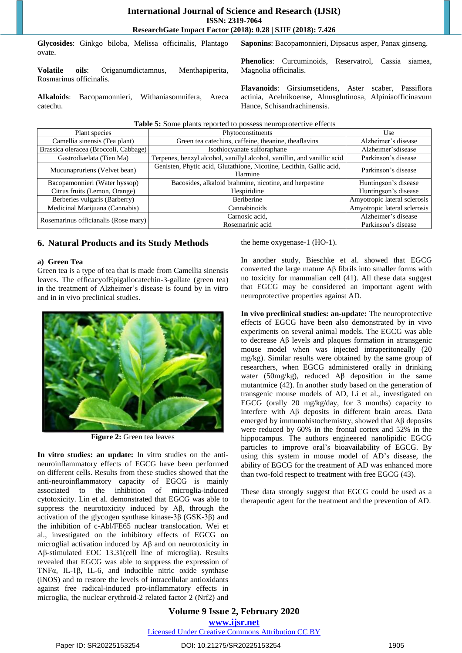Magnolia officinalis.

**Glycosides**: Ginkgo biloba, Melissa officinalis, Plantago ovate. **Saponins**: Bacopamonnieri, Dipsacus asper, Panax ginseng.

**Volatile oils**: Origanumdictamnus, Menthapiperita, Rosmarinus officinalis.

**Alkaloids**: Bacopamonnieri, Withaniasomnifera, Areca catechu.

**Phenolics**: Curcuminoids, Reservatrol, Cassia siamea,

**Flavanoids**: Girsiumsetidens, Aster scaber, Passiflora actinia, Acelnikoense, Alnusglutinosa, Alpiniaofficinavum Hance, Schisandrachinensis.

| <b>Table 5:</b> Some plants reported to possess neuroprotective effects |                                                                                 |                                            |  |
|-------------------------------------------------------------------------|---------------------------------------------------------------------------------|--------------------------------------------|--|
| Phytoconstituents<br>Plant species                                      |                                                                                 | Use                                        |  |
| Camellia sinensis (Tea plant)                                           | Green tea catechins, caffeine, theanine, theaflavins                            | Alzheimer's disease                        |  |
| Brassica oleracea (Broccoli, Cabbage)                                   | Isothiocyanate sulforaphane                                                     | Alzheimer'sdisease                         |  |
| Gastrodiaelata (Tien Ma)                                                | Terpenes, benzyl alcohol, vanillyl alcohol, vanillin, and vanillic acid         | Parkinson's disease                        |  |
| Mucunapruriens (Velvet bean)                                            | Genisten, Phytic acid, Glutathione, Nicotine, Lecithin, Gallic acid,<br>Harmine | Parkinson's disease                        |  |
| Bacopamonnieri (Water hyssop)                                           | Bacosides, alkaloid brahmine, nicotine, and herpestine                          | Huntingson's disease                       |  |
| Citrus fruits (Lemon, Orange)                                           | Hespiridine                                                                     | Huntingson's disease                       |  |
| Berberies vulgaris (Barberry)                                           | Beriberine                                                                      | Amyotropic lateral sclerosis               |  |
| Medicinal Marijuana (Cannabis)                                          | Cannabinoids                                                                    | Amyotropic lateral sclerosis               |  |
| Rosemarinus officianalis (Rose mary)                                    | Carnosic acid.<br>Rosemarinic acid                                              | Alzheimer's disease<br>Parkinson's disease |  |

# **6. Natural Products and its Study Methods**

#### **a) Green Tea**

Green tea is a type of tea that is made from Camellia sinensis leaves. The efficacyofEpigallocatechin-3-gallate (green tea) in the treatment of Alzheimer's disease is found by in vitro and in in vivo preclinical studies.



**Figure 2:** Green tea leaves

**In vitro studies: an update:** In vitro studies on the antineuroinflammatory effects of EGCG have been performed on different cells. Results from these studies showed that the anti-neuroinflammatory capacity of EGCG is mainly associated to the inhibition of microglia-induced cytotoxicity. Lin et al. demonstrated that EGCG was able to suppress the neurotoxicity induced by Aβ, through the activation of the glycogen synthase kinase-3β (GSK-3β) and the inhibition of c-Abl/FE65 nuclear translocation. Wei et al., investigated on the inhibitory effects of EGCG on microglial activation induced by Aβ and on neurotoxicity in Aβ-stimulated EOC 13.31(cell line of microglia). Results revealed that EGCG was able to suppress the expression of TNFα, IL-1β, IL-6, and inducible nitric oxide synthase (iNOS) and to restore the levels of intracellular antioxidants against free radical-induced pro-inflammatory effects in microglia, the nuclear erythroid-2 related factor 2 (Nrf2) and the heme oxygenase-1 (HO-1).

In another study, Bieschke et al. showed that EGCG converted the large mature Aβ fibrils into smaller forms with no toxicity for mammalian cell (41). All these data suggest that EGCG may be considered an important agent with neuroprotective properties against AD.

**In vivo preclinical studies: an-update:** The neuroprotective effects of EGCG have been also demonstrated by in vivo experiments on several animal models. The EGCG was able to decrease Aβ levels and plaques formation in atransgenic mouse model when was injected intraperitoneally (20 mg/kg). Similar results were obtained by the same group of researchers, when EGCG administered orally in drinking water (50mg/kg), reduced  $\mathbf{A}\beta$  deposition in the same mutantmice (42). In another study based on the generation of transgenic mouse models of AD, Li et al., investigated on EGCG (orally 20 mg/kg/day, for 3 months) capacity to interfere with Aβ deposits in different brain areas. Data emerged by immunohistochemistry, showed that Aβ deposits were reduced by 60% in the frontal cortex and 52% in the hippocampus. The authors engineered nanolipidic EGCG particles to improve oral's bioavailability of EGCG. By using this system in mouse model of AD's disease, the ability of EGCG for the treatment of AD was enhanced more than two-fold respect to treatment with free EGCG (43).

These data strongly suggest that EGCG could be used as a therapeutic agent for the treatment and the prevention of AD.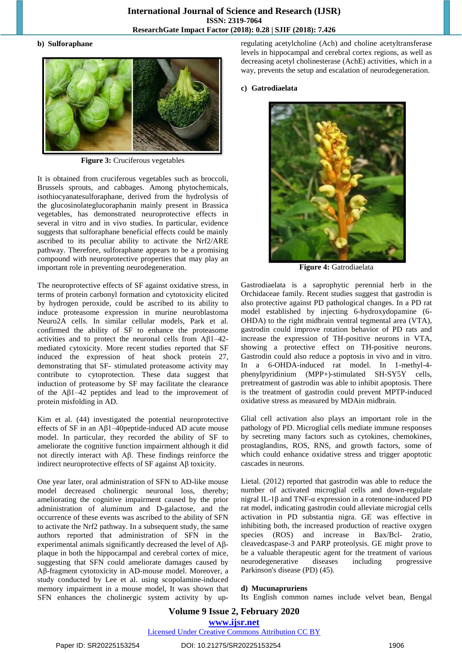#### **b) Sulforaphane**



**Figure 3:** Cruciferous vegetables

It is obtained from cruciferous vegetables such as broccoli, Brussels sprouts, and cabbages. Among phytochemicals, isothiocyanatesulforaphane, derived from the hydrolysis of the glucosinolateglucoraphanin mainly present in Brassica vegetables, has demonstrated neuroprotective effects in several in vitro and in vivo studies. In particular, evidence suggests that sulforaphane beneficial effects could be mainly ascribed to its peculiar ability to activate the Nrf2/ARE pathway. Therefore, sulforaphane appears to be a promising compound with neuroprotective properties that may play an important role in preventing neurodegeneration.

The neuroprotective effects of SF against oxidative stress, in terms of protein carbonyl formation and cytotoxicity elicited by hydrogen peroxide, could be ascribed to its ability to induce proteasome expression in murine neuroblastoma Neuro2A cells. In similar cellular models, Park et al. confirmed the ability of SF to enhance the proteasome activities and to protect the neuronal cells from  $A\beta$ 1–42mediated cytoxicity. More recent studies reported that SF induced the expression of heat shock protein 27, demonstrating that SF- stimulated proteasome activity may contribute to cytoprotection. These data suggest that induction of proteasome by SF may facilitate the clearance of the Aβ1–42 peptides and lead to the improvement of protein misfolding in AD.

Kim et al. (44) investigated the potential neuroprotective effects of SF in an Aβ1–40peptide-induced AD acute mouse model. In particular, they recorded the ability of SF to ameliorate the cognitive function impairment although it did not directly interact with Aβ. These findings reinforce the indirect neuroprotective effects of SF against Aβ toxicity.

One year later, oral administration of SFN to AD-like mouse model decreased cholinergic neuronal loss, thereby; ameliorating the cognitive impairment caused by the prior administration of aluminum and D-galactose, and the occurrence of these events was ascribed to the ability of SFN to activate the Nrf2 pathway. In a subsequent study, the same authors reported that administration of SFN in the experimental animals significantly decreased the level of Aβplaque in both the hippocampal and cerebral cortex of mice, suggesting that SFN could ameliorate damages caused by Aβ-fragment cytotoxicity in AD-mouse model. Moreover, a study conducted by Lee et al. using scopolamine-induced memory impairment in a mouse model, It was shown that SFN enhances the cholinergic system activity by upregulating acetylcholine (Ach) and choline acetyltransferase levels in hippocampal and cerebral cortex regions, as well as decreasing acetyl cholinesterase (AchE) activities, which in a way, prevents the setup and escalation of neurodegeneration.

#### **c) Gatrodiaelata**



**Figure 4:** Gatrodiaelata

Gastrodiaelata is a saprophytic perennial herb in the Orchidaceae family. Recent studies suggest that gastrodin is also protective against PD pathological changes. In a PD rat model established by injecting 6-hydroxydopamine (6- OHDA) to the right midbrain ventral tegmental area (VTA), gastrodin could improve rotation behavior of PD rats and increase the expression of TH-positive neurons in VTA, showing a protective effect on TH-positive neurons. Gastrodin could also reduce a poptosis in vivo and in vitro. In a 6-OHDA-induced rat model. In 1-methyl-4 phenylpyridinium (MPP+)-stimulated SH-SY5Y cells, pretreatment of gastrodin was able to inhibit apoptosis. There is the treatment of gastrodin could prevent MPTP-induced oxidative stress as measured by MDAin midbrain.

Glial cell activation also plays an important role in the pathology of PD. Microglial cells mediate immune responses by secreting many factors such as cytokines, chemokines, prostaglandins, ROS, RNS, and growth factors, some of which could enhance oxidative stress and trigger apoptotic cascades in neurons.

Lietal. (2012) reported that gastrodin was able to reduce the number of activated microglial cells and down-regulate nigral IL-1β and TNF-α expression in a rotenone-induced PD rat model, indicating gastrodin could alleviate microgial cells activation in PD substantia nigra. GE was effective in inhibiting both, the increased production of reactive oxygen species (ROS) and increase in Bax/Bcl- 2ratio, cleavedcaspase-3 and PARP proteolysis. GE might prove to be a valuable therapeutic agent for the treatment of various neurodegenerative diseases including progressive Parkinson's disease (PD) (45).

#### **d) Mucunapruriens**

Its English common names include velvet bean, Bengal

# **Volume 9 Issue 2, February 2020 www.ijsr.net**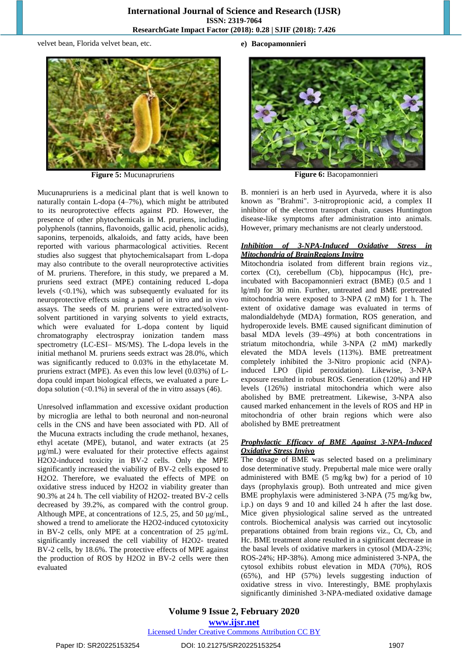velvet bean, Florida velvet bean, etc.



**Figure 5:** Mucunapruriens

Mucunapruriens is a medicinal plant that is well known to naturally contain L-dopa (4–7%), which might be attributed to its neuroprotective effects against PD. However, the presence of other phytochemicals in M. pruriens, including polyphenols (tannins, flavonoids, gallic acid, phenolic acids), saponins, terpenoids, alkaloids, and fatty acids, have been reported with various pharmacological activities. Recent studies also suggest that phytochemicalsapart from L-dopa may also contribute to the overall neuroprotective activities of M. pruriens. Therefore, in this study, we prepared a M. pruriens seed extract (MPE) containing reduced L-dopa levels (<0.1%), which was subsequently evaluated for its neuroprotective effects using a panel of in vitro and in vivo assays. The seeds of M. pruriens were extracted/solventsolvent partitioned in varying solvents to yield extracts, which were evaluated for L-dopa content by liquid chromatography electrospray ionization tandem mass spectrometry (LC-ESI– MS/MS). The L-dopa levels in the initial methanol M. pruriens seeds extract was 28.0%, which was significantly reduced to 0.03% in the ethylacetate M. pruriens extract (MPE). As even this low level (0.03%) of Ldopa could impart biological effects, we evaluated a pure Ldopa solution  $(\le 0.1\%)$  in several of the in vitro assays (46).

Unresolved inflammation and excessive oxidant production by microglia are lethal to both neuronal and non-neuronal cells in the CNS and have been associated with PD. All of the Mucuna extracts including the crude methanol, hexanes, ethyl acetate (MPE), butanol, and water extracts (at 25 µg/mL) were evaluated for their protective effects against H2O2-induced toxicity in BV-2 cells. Only the MPE significantly increased the viability of BV-2 cells exposed to H2O2. Therefore, we evaluated the effects of MPE on oxidative stress induced by H2O2 in viability greater than 90.3% at 24 h. The cell viability of H2O2- treated BV-2 cells decreased by 39.2%, as compared with the control group. Although MPE, at concentrations of 12.5, 25, and 50 μg/mL, showed a trend to ameliorate the H2O2-induced cytotoxicity in BV-2 cells, only MPE at a concentration of 25 μg/mL significantly increased the cell viability of H2O2- treated BV-2 cells, by 18.6%. The protective effects of MPE against the production of ROS by H2O2 in BV-2 cells were then evaluated

**e) Bacopamonnieri**



**Figure 6:** Bacopamonnieri

B. monnieri is an herb used in Ayurveda, where it is also known as "Brahmi". 3-nitropropionic acid, a complex II inhibitor of the electron transport chain, causes Huntington disease-like symptoms after administration into animals. However, primary mechanisms are not clearly understood.

#### *Inhibition of 3-NPA-Induced Oxidative Stress in Mitochondria of BrainRegions Invitro*

Mitochondria isolated from different brain regions viz., cortex (Ct), cerebellum (Cb), hippocampus (Hc), preincubated with Bacopamonnieri extract (BME) (0.5 and 1 lg/ml) for 30 min. Further, untreated and BME pretreated mitochondria were exposed to 3-NPA (2 mM) for 1 h. The extent of oxidative damage was evaluated in terms of malondialdehyde (MDA) formation, ROS generation, and hydroperoxide levels. BME caused significant diminution of basal MDA levels (39–49%) at both concentrations in striatum mitochondria, while 3-NPA (2 mM) markedly elevated the MDA levels (113%). BME pretreatment completely inhibited the 3-Nitro propionic acid (NPA) induced LPO (lipid peroxidation). Likewise, 3-NPA exposure resulted in robust ROS. Generation (120%) and HP levels (126%) instriatal mitochondria which were also abolished by BME pretreatment. Likewise, 3-NPA also caused marked enhancement in the levels of ROS and HP in mitochondria of other brain regions which were also abolished by BME pretreatment

#### *Prophylactic Efficacy of BME Against 3-NPA-Induced Oxidative Stress Invivo*

The dosage of BME was selected based on a preliminary dose determinative study. Prepubertal male mice were orally administered with BME (5 mg/kg bw) for a period of 10 days (prophylaxis group). Both untreated and mice given BME prophylaxis were administered 3-NPA (75 mg/kg bw, i.p.) on days 9 and 10 and killed 24 h after the last dose. Mice given physiological saline served as the untreated controls. Biochemical analysis was carried out incytosolic preparations obtained from brain regions viz., Ct, Cb, and Hc. BME treatment alone resulted in a significant decrease in the basal levels of oxidative markers in cytosol (MDA-23%; ROS-24%; HP-38%). Among mice administered 3-NPA, the cytosol exhibits robust elevation in MDA (70%), ROS (65%), and HP (57%) levels suggesting induction of oxidative stress in vivo. Interestingly, BME prophylaxis significantly diminished 3-NPA-mediated oxidative damage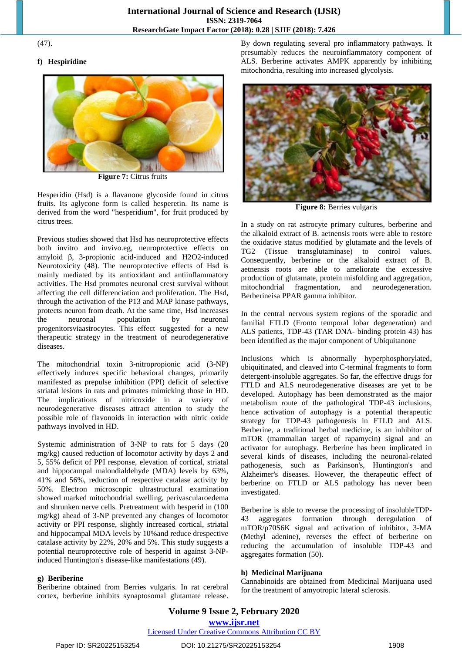#### (47).

# **f) Hespiridine**



**Figure 7:** Citrus fruits

Hesperidin (Hsd) is a flavanone glycoside found in citrus fruits. Its aglycone form is called hesperetin. Its name is derived from the word "hesperidium", for fruit produced by citrus trees.

Previous studies showed that Hsd has neuroprotective effects both invitro and invivo.eg, neuroprotective effects on amyloid β, 3-propionic acid-induced and H2O2-induced Neurotoxicity (48). The neuroprotective effects of Hsd is mainly mediated by its antioxidant and antiinflammatory activities. The Hsd promotes neuronal crest survival without affecting the cell differenciation and proliferation. The Hsd, through the activation of the P13 and MAP kinase pathways, protects neuron from death. At the same time, Hsd increases the neuronal population by neuronal progenitorsviaastrocytes. This effect suggested for a new therapeutic strategy in the treatment of neurodegenerative diseases.

The mitochondrial toxin 3-nitropropionic acid (3-NP) effectively induces specific behavioral changes, primarily manifested as prepulse inhibition (PPI) deficit of selective striatal lesions in rats and primates mimicking those in HD. The implications of nitricoxide in a variety of neurodegenerative diseases attract attention to study the possible role of flavonoids in interaction with nitric oxide pathways involved in HD.

Systemic administration of 3-NP to rats for 5 days (20 mg/kg) caused reduction of locomotor activity by days 2 and 5, 55% deficit of PPI response, elevation of cortical, striatal and hippocampal malondialdehyde (MDA) levels by 63%, 41% and 56%, reduction of respective catalase activity by 50%. Electron microscopic ultrastructural examination showed marked mitochondrial swelling, perivascularoedema and shrunken nerve cells. Pretreatment with hesperid in (100 mg/kg) ahead of 3-NP prevented any changes of locomotor activity or PPI response, slightly increased cortical, striatal and hippocampal MDA levels by 10%and reduce drespective catalase activity by 22%, 20% and 5%. This study suggests a potential neuroprotective role of hesperid in against 3-NPinduced Huntington's disease-like manifestations (49).

#### **g) Beriberine**

Beriberine obtained from Berries vulgaris. In rat cerebral cortex, berberine inhibits synaptosomal glutamate release. By down regulating several pro inflammatory pathways. It presumably reduces the neuroinflammatory component of ALS. Berberine activates AMPK apparently by inhibiting mitochondria, resulting into increased glycolysis.



**Figure 8:** Berries vulgaris

In a study on rat astrocyte primary cultures, berberine and the alkaloid extract of B. aetnensis roots were able to restore the oxidative status modified by glutamate and the levels of TG2 (Tissue transglutaminase) to control values. Consequently, berberine or the alkaloid extract of B. aetnensis roots are able to ameliorate the excessive production of glutamate, protein misfolding and aggregation, mitochondrial fragmentation, and neurodegeneration. Berberineisa PPAR gamma inhibitor.

In the central nervous system regions of the sporadic and familial FTLD (Fronto temporal lobar degeneration) and ALS patients, TDP-43 (TAR DNA- binding protein 43) has been identified as the major component of Ubiquitanone

Inclusions which is abnormally hyperphosphorylated, ubiquitinated, and cleaved into C-terminal fragments to form detergent-insoluble aggregates. So far, the effective drugs for FTLD and ALS neurodegenerative diseases are yet to be developed. Autophagy has been demonstrated as the major metabolism route of the pathological TDP-43 inclusions, hence activation of autophagy is a potential therapeutic strategy for TDP-43 pathogenesis in FTLD and ALS. Berberine, a traditional herbal medicine, is an inhibitor of mTOR (mammalian target of rapamycin) signal and an activator for autophagy. Berberine has been implicated in several kinds of diseases, including the neuronal-related pathogenesis, such as Parkinson's, Huntington's and Alzheimer's diseases. However, the therapeutic effect of berberine on FTLD or ALS pathology has never been investigated.

Berberine is able to reverse the processing of insolubleTDP-43 aggregates formation through deregulation of mTOR/p70S6K signal and activation of inhibitor, 3-MA (Methyl adenine), reverses the effect of berberine on reducing the accumulation of insoluble TDP-43 and aggregates formation (50).

# **h) Medicinal Marijuana**

Cannabinoids are obtained from Medicinal Marijuana used for the treatment of amyotropic lateral sclerosis.

# **Volume 9 Issue 2, February 2020 www.ijsr.net**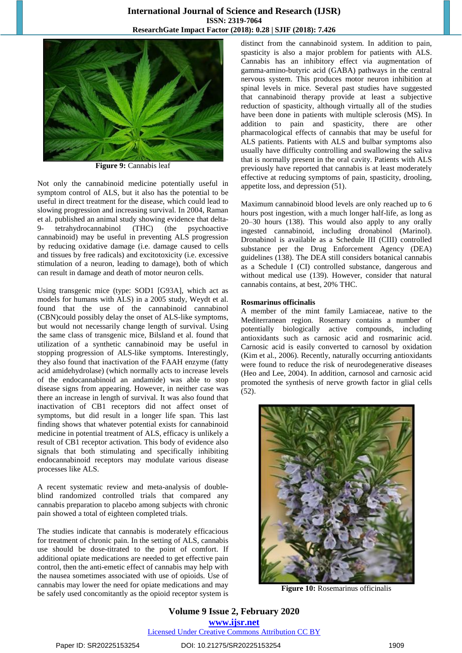

**Figure 9:** Cannabis leaf

Not only the cannabinoid medicine potentially useful in symptom control of ALS, but it also has the potential to be useful in direct treatment for the disease, which could lead to slowing progression and increasing survival. In 2004, Raman et al. published an animal study showing evidence that delta-9- tetrahydrocannabinol (THC) (the psychoactive cannabinoid) may be useful in preventing ALS progression by reducing oxidative damage (i.e. damage caused to cells and tissues by free radicals) and excitotoxicity (i.e. excessive stimulation of a neuron, leading to damage), both of which can result in damage and death of motor neuron cells.

Using transgenic mice (type: SOD1 [G93A], which act as models for humans with ALS) in a 2005 study, Weydt et al. found that the use of the cannabinoid cannabinol (CBN)could possibly delay the onset of ALS-like symptoms, but would not necessarily change length of survival. Using the same class of transgenic mice, Bilsland et al. found that utilization of a synthetic cannabinoid may be useful in stopping progression of ALS-like symptoms. Interestingly, they also found that inactivation of the FAAH enzyme (fatty acid amidehydrolase) (which normally acts to increase levels of the endocannabinoid an andamide) was able to stop disease signs from appearing. However, in neither case was there an increase in length of survival. It was also found that inactivation of CB1 receptors did not affect onset of symptoms, but did result in a longer life span. This last finding shows that whatever potential exists for cannabinoid medicine in potential treatment of ALS, efficacy is unlikely a result of CB1 receptor activation. This body of evidence also signals that both stimulating and specifically inhibiting endocannabinoid receptors may modulate various disease processes like ALS.

A recent systematic review and meta-analysis of doubleblind randomized controlled trials that compared any cannabis preparation to placebo among subjects with chronic pain showed a total of eighteen completed trials.

The studies indicate that cannabis is moderately efficacious for treatment of chronic pain. In the setting of ALS, cannabis use should be dose-titrated to the point of comfort. If additional opiate medications are needed to get effective pain control, then the anti-emetic effect of cannabis may help with the nausea sometimes associated with use of opioids. Use of cannabis may lower the need for opiate medications and may be safely used concomitantly as the opioid receptor system is

distinct from the cannabinoid system. In addition to pain, spasticity is also a major problem for patients with ALS. Cannabis has an inhibitory effect via augmentation of gamma-amino-butyric acid (GABA) pathways in the central nervous system. This produces motor neuron inhibition at spinal levels in mice. Several past studies have suggested that cannabinoid therapy provide at least a subjective reduction of spasticity, although virtually all of the studies have been done in patients with multiple sclerosis (MS). In addition to pain and spasticity, there are other pharmacological effects of cannabis that may be useful for ALS patients. Patients with ALS and bulbar symptoms also usually have difficulty controlling and swallowing the saliva that is normally present in the oral cavity. Patients with ALS previously have reported that cannabis is at least moderately effective at reducing symptoms of pain, spasticity, drooling, appetite loss, and depression (51).

Maximum cannabinoid blood levels are only reached up to 6 hours post ingestion, with a much longer half-life, as long as 20–30 hours (138). This would also apply to any orally ingested cannabinoid, including dronabinol (Marinol). Dronabinol is available as a Schedule III (CIII) controlled substance per the Drug Enforcement Agency (DEA) guidelines (138). The DEA still considers botanical cannabis as a Schedule I (CI) controlled substance, dangerous and without medical use (139). However, consider that natural cannabis contains, at best, 20% THC.

#### **Rosmarinus officinalis**

A member of the mint family Lamiaceae, native to the Mediterranean region. Rosemary contains a number of potentially biologically active compounds, including antioxidants such as carnosic acid and rosmarinic acid. Carnosic acid is easily converted to carnosol by oxidation (Kim et al., 2006). Recently, naturally occurring antioxidants were found to reduce the risk of neurodegenerative diseases (Heo and Lee, 2004). In addition, carnosol and carnosic acid promoted the synthesis of nerve growth factor in glial cells (52).



**Figure 10:** Rosemarinus officinalis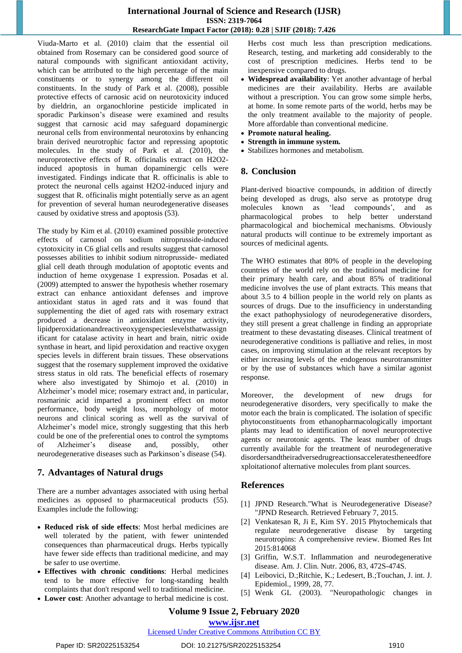Viuda-Marto et al. (2010) claim that the essential oil obtained from Rosemary can be considered good source of natural compounds with significant antioxidant activity, which can be attributed to the high percentage of the main constituents or to synergy among the different oil constituents. In the study of Park et al. (2008), possible protective effects of carnosic acid on neurotoxicity induced by dieldrin, an organochlorine pesticide implicated in sporadic Parkinson's disease were examined and results suggest that carnosic acid may safeguard dopaminergic neuronal cells from environmental neurotoxins by enhancing brain derived neurotrophic factor and repressing apoptotic molecules. In the study of Park et al. (2010), the neuroprotective effects of R. officinalis extract on H2O2 induced apoptosis in human dopaminergic cells were investigated. Findings indicate that R. officinalis is able to protect the neuronal cells against H2O2-induced injury and suggest that R. officinalis might potentially serve as an agent for prevention of several human neurodegenerative diseases caused by oxidative stress and apoptosis (53).

The study by Kim et al. (2010) examined possible protective effects of carnosol on sodium nitroprusside-induced cytotoxicity in C6 glial cells and results suggest that carnosol possesses abilities to inhibit sodium nitroprusside- mediated glial cell death through modulation of apoptotic events and induction of heme oxygenase 1 expression. Posadas et al. (2009) attempted to answer the hypothesis whether rosemary extract can enhance antioxidant defenses and improve antioxidant status in aged rats and it was found that supplementing the diet of aged rats with rosemary extract produced a decrease in antioxidant enzyme activity, lipidperoxidationandreactiveoxygenspecieslevelsthatwassign ificant for catalase activity in heart and brain, nitric oxide synthase in heart, and lipid peroxidation and reactive oxygen species levels in different brain tissues. These observations suggest that the rosemary supplement improved the oxidative stress status in old rats. The beneficial effects of rosemary where also investigated by Shimojo et al. (2010) in Alzheimer's model mice; rosemary extract and, in particular, rosmarinic acid imparted a prominent effect on motor performance, body weight loss, morphology of motor neurons and clinical scoring as well as the survival of Alzheimer's model mice, strongly suggesting that this herb could be one of the preferential ones to control the symptoms of Alzheimer's disease and, possibly, other neurodegenerative diseases such as Parkinson's disease (54).

# **7. Advantages of Natural drugs**

There are a number advantages associated with using herbal medicines as opposed to pharmaceutical products (55). Examples include the following:

- **Reduced risk of side effects**: Most herbal medicines are well tolerated by the patient, with fewer unintended consequences than pharmaceutical drugs. Herbs typically have fewer side effects than traditional medicine, and may be safer to use overtime.
- **Effectives with chronic conditions**: Herbal medicines tend to be more effective for long-standing health complaints that don't respond well to traditional medicine.
- **Lower cost**: Another advantage to herbal medicine is cost.

Herbs cost much less than prescription medications. Research, testing, and marketing add considerably to the cost of prescription medicines. Herbs tend to be inexpensive compared to drugs.

- **Widespread availability**: Yet another advantage of herbal medicines are their availability. Herbs are available without a prescription. You can grow some simple herbs, at home. In some remote parts of the world, herbs may be the only treatment available to the majority of people. More affordable than conventional medicine.
- **Promote natural healing.**
- **Strength in immune system.**
- Stabilizes hormones and metabolism.

# **8. Conclusion**

Plant-derived bioactive compounds, in addition of directly being developed as drugs, also serve as prototype drug molecules known as 'lead compounds', and as pharmacological probes to help better understand pharmacological and biochemical mechanisms. Obviously natural products will continue to be extremely important as sources of medicinal agents.

The WHO estimates that 80% of people in the developing countries of the world rely on the traditional medicine for their primary health care, and about 85% of traditional medicine involves the use of plant extracts. This means that about 3.5 to 4 billion people in the world rely on plants as sources of drugs. Due to the insufficiency in understanding the exact pathophysiology of neurodegenerative disorders, they still present a great challenge in finding an appropriate treatment to these devastating diseases. Clinical treatment of neurodegenerative conditions is palliative and relies, in most cases, on improving stimulation at the relevant receptors by either increasing levels of the endogenous neurotransmitter or by the use of substances which have a similar agonist response.

Moreover, the development of new drugs for neurodegenerative disorders, very specifically to make the motor each the brain is complicated. The isolation of specific phytoconstituents from ethanopharmacologically important plants may lead to identification of novel neuroprotective agents or neurotonic agents. The least number of drugs currently available for the treatment of neurodegenerative disordersandtheiradversedrugreactionsacceleratestheneedfore xploitationof alternative molecules from plant sources.

# **References**

- [1] JPND Research."What is Neurodegenerative Disease? "JPND Research. Retrieved February 7, 2015.
- [2] Venkatesan R, Ji E, Kim SY. 2015 Phytochemicals that regulate neurodegenerative disease by targeting neurotropins: A comprehensive review. Biomed Res Int 2015:814068
- [3] Griffin, W.S.T. Inflammation and neurodegenerative disease. Am. J. Clin. Nutr. 2006, 83, 472S-474S.
- [4] Leibovici, D.;Ritchie, K.; Ledesert, B.;Touchan, J. int. J. Epidemiol., 1999, 28, 77.
- [5] Wenk GL (2003). "Neuropathologic changes in

# **Volume 9 Issue 2, February 2020 www.ijsr.net**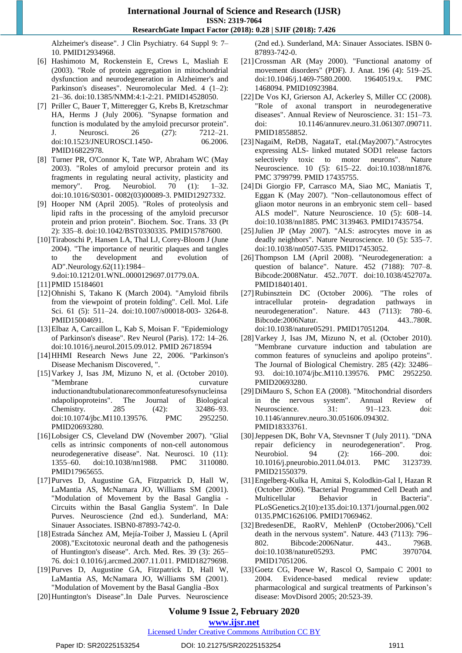Alzheimer's disease". J Clin Psychiatry. 64 Suppl 9: 7– 10. PMID12934968.

- [6] Hashimoto M, Rockenstein E, Crews L, Masliah E (2003). "Role of protein aggregation in mitochondrial dysfunction and neurodegeneration in Alzheimer's and Parkinson's diseases". Neuromolecular Med. 4 (1–2): 21–36. doi:10.1385/NMM:4:1-2:21. PMID14528050.
- [7] Priller C, Bauer T, Mitteregger G, Krebs B, Kretzschmar HA, Herms J (July 2006). "Synapse formation and function is modulated by the amyloid precursor protein". J. Neurosci. 26 (27): 7212–21. doi:10.1523/JNEUROSCI.1450- 06.2006. PMID16822978.
- [8] Turner PR, O'Connor K, Tate WP, Abraham WC (May 2003). "Roles of amyloid precursor protein and its fragments in regulating neural activity, plasticity and memory". Prog. Neurobiol. 70 (1): 1–32. doi:10.1016/S0301- 0082(03)00089-3. PMID12927332.
- [9] Hooper NM (April 2005). "Roles of proteolysis and lipid rafts in the processing of the amyloid precursor protein and prion protein". Biochem. Soc. Trans. 33 (Pt 2): 335–8. doi:10.1042/BST0330335. PMID15787600.
- [10]Tiraboschi P, Hansen LA, Thal LJ, Corey-Bloom J (June 2004). "The importance of neuritic plaques and tangles to the development and evolution of AD".Neurology.62(11):1984– 9.doi:10.1212/01.WNL.0000129697.01779.0A.
- [11]PMID 15184601
- [12]Ohnishi S, Takano K (March 2004). "Amyloid fibrils from the viewpoint of protein folding". Cell. Mol. Life Sci. 61 (5): 511–24. doi:10.1007/s00018-003- 3264-8. PMID15004691.
- [13]Elbaz A, Carcaillon L, Kab S, Moisan F. "Epidemiology of Parkinson's disease". Rev Neurol (Paris). 172: 14–26. doi:10.1016/j.neurol.2015.09.012. PMID 26718594
- [14]HHMI Research News June 22, 2006. "Parkinson's Disease Mechanism Discovered, ".
- [15]Varkey J, Isas JM, Mizuno N, et al. (October 2010). "Membrane curvature inductionandtubulationarecommonfeaturesofsynucleinsa ndapolipoproteins". The Journal of Biological Chemistry. 285 (42): 32486–93. doi:10.1074/jbc.M110.139576. PMC 2952250. PMID20693280.
- [16]Lobsiger CS, Cleveland DW (November 2007). "Glial cells as intrinsic components of non-cell autonomous neurodegenerative disease". Nat. Neurosci. 10 (11): 1355–60. doi:10.1038/nn1988. PMC 3110080. PMID17965655.
- [17]Purves D, Augustine GA, Fitzpatrick D, Hall W, LaMantia AS, McNamara JO, Williams SM (2001). "Modulation of Movement by the Basal Ganglia - Circuits within the Basal Ganglia System". In Dale Purves. Neuroscience (2nd ed.). Sunderland, MA: Sinauer Associates. ISBN0-87893-742-0.
- [18]Estrada Sánchez AM, Mejía-Toiber J, Massieu L (April 2008)."Excitotoxic neuronal death and the pathogenesis of Huntington's disease". Arch. Med. Res. 39 (3): 265– 76. doi:1 0.1016/j.arcmed.2007.11.011. PMID18279698.
- [19]Purves D, Augustine GA, Fitzpatrick D, Hall W, LaMantia AS, McNamara JO, Williams SM (2001). "Modulation of Movement by the Basal Ganglia -Box
- [20]Huntington's Disease".In Dale Purves. Neuroscience

(2nd ed.). Sunderland, MA: Sinauer Associates. ISBN 0- 87893-742-0.

- [21]Crossman AR (May 2000). "Functional anatomy of movement disorders" (PDF). J. Anat. 196 (4): 519–25. doi:10.1046/j.1469-7580.2000. 19640519.x. PMC 1468094. PMID10923984.
- [22]De Vos KJ, Grierson AJ, Ackerley S, Miller CC (2008). "Role of axonal transport in neurodegenerative diseases". Annual Review of Neuroscience. 31: 151–73. doi: 10.1146/annurev.neuro.31.061307.090711. PMID18558852.
- [23]NagaiM, ReDB, NagataT, etal.(May2007)."Astrocytes expressing ALS- linked mutated SOD1 release factors selectively toxic to motor neurons". Nature Neuroscience. 10 (5): 615–22. doi:10.1038/nn1876. PMC 3799799. PMID 17435755.
- [24]Di Giorgio FP, Carrasco MA, Siao MC, Maniatis T, Eggan K (May 2007). "Non–cellautonomous effect of gliaon motor neurons in an embryonic stem cell– based ALS model". Nature Neuroscience. 10 (5): 608–14. doi:10.1038/nn1885. PMC 3139463. PMID17435754.
- [25]Julien JP (May 2007). "ALS: astrocytes move in as deadly neighbors". Nature Neuroscience. 10 (5): 535–7. doi:10.1038/nn0507-535. PMID17453052.
- [26]Thompson LM (April 2008). "Neurodegeneration: a question of balance". Nature. 452 (7188): 707–8. Bibcode:2008Natur. 452..707T. doi:10.1038/452707a. PMID18401401.
- [27]Rubinsztein DC (October 2006). "The roles of intracellular protein- degradation pathways in neurodegeneration". Nature. 443 (7113): 780–6. Bibcode:2006Natur. 443..780R. doi:10.1038/nature05291. PMID17051204.
- [28] Varkey J, Isas JM, Mizuno N, et al. (October 2010). "Membrane curvature induction and tabulation are common features of synucleins and apolipo proteins". The Journal of Biological Chemistry. 285 (42): 32486– 93. doi:10.1074/jbc.M110.139576. PMC 2952250. PMID20693280.
- [29]DiMauro S, Schon EA (2008). "Mitochondrial disorders in the nervous system". Annual Review of Neuroscience. 31: 91–123. doi: 10.1146/annurev.neuro.30.051606.094302. PMID18333761.
- [30]Jeppesen DK, Bohr VA, Stevnsner T (July 2011). "DNA repair deficiency in neurodegeneration". Prog. Neurobiol. 94 (2): 166–200. doi: 10.1016/j.pneurobio.2011.04.013. PMC 3123739. PMID21550379.
- [31]Engelberg-Kulka H, Amitai S, Kolodkin-Gal I, Hazan R (October 2006). "Bacterial Programmed Cell Death and Multicellular Behavior in Bacteria". PLoSGenetics.2(10):e135.doi:10.1371/journal.pgen.002 0135.PMC1626106. PMID17069462.
- [32]BredesenDE, RaoRV, MehlenP (October2006)."Cell death in the nervous system". Nature. 443 (7113): 796– 802. Bibcode:2006Natur. 443.. 796B. doi:10.1038/nature05293. PMC 3970704. PMID17051206.
- [33]Goetz CG, Poewe W, Rascol O, Sampaio C 2001 to 2004. Evidence-based medical review update: pharmacological and surgical treatments of Parkinson's disease: MovDisord 2005; 20:523-39.

# **Volume 9 Issue 2, February 2020**

**www.ijsr.net**